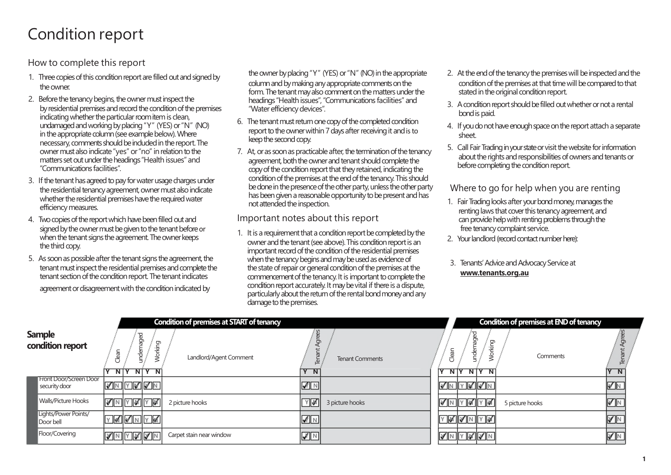# Condition report

How to complete this report

- 1. Three copies of this condition report are filled out and signed by the owner
- 2. Before the tenancy begins, the owner must inspect the by residential premises and record the condition of the premises indicating whether the particular room item is clean, undamaged and working by placing "Y" (YES) or "N" (NO) in the appropriate column (see example below). Where necessary, comments should be included in the report. The owner must also indicate "yes" or "no" in relation to the matters set out under the headings "Health issues" and "Communications facilities".
- 3. If the tenant has agreed to pay for water usage charges under the residential tenancy agreement, owner must also indicate whether the residential premises have the required water efficiency measures.
- 4. Two copies of the report which have been filled out and signed by the owner must be given to the tenant before or when the tenant signs the agreement. The owner keeps the third copy.
- 5. As soon as possible after the tenant signs the agreement, the tenant must inspect the residential premises and complete the tenant section of the condition report. The tenant indicates

agreement or disagreement with the condition indicated by

the owner by placing "Y" (YES) or "N" (NO) in the appropriate column and by making any appropriate comments on the form. The tenant may also comment on the matters under the headings "Health issues", "Communications facilities" and "Water efficiency devices".

- 6. The tenant must return one copy of the completed condition report to the owner within 7 days after receiving it and is to keep the second copy.
- 7. At, or as soon as practicable after, the termination of the tenancy agreement, both the owner and tenant should complete the copy of the condition report that they retained, indicating the condition of the premises at the end of the tenancy. This should be done in the presence of the other party, unless the other party has been given a reasonable opportunity to be present and has not attended the inspection.

## Important notes about this report

1. It is a requirement that a condition report be completed by the owner and the tenant (see above). This condition report is an important record of the condition of the residential premises when the tenancy begins and may be used as evidence of the state of repair or general condition of the premises at the commencement of the tenancy. It is important to complete the condition report accurately. It may be vital if there is a dispute, particularly about the return of the rental bond money and any damage to the premises.

- 2. At the end of the tenancy the premises will be inspected and the condition of the premises at that time will be compared to that stated in the original condition report.
- 3. A condition report should be filled out whether or not a rental bond is paid.
- 4. If you do not have enough space on the report attach a separate sheet.
- 5. Call Fair Trading in your state or visit the website for information about the rights and responsibilities of owners and tenants or before completing the condition report.

# Where to go for help when you are renting

- 1. Fair Trading looks after your bond money, manages the renting laws that cover this tenancy agreement, and can provide help with renting problems through the free tenancy complaint service.
- 2. Your landlord (record contact number here):

#### 3. Tenants' Advice and Advocacy Service at www.tenants.org.au

|                                                |                         |              |                    | <b>Condition of premises at START of tenancy</b> |                   |                        |                |                |                        |         | <b>Condition of premises at END of tenancy</b> |                         |  |
|------------------------------------------------|-------------------------|--------------|--------------------|--------------------------------------------------|-------------------|------------------------|----------------|----------------|------------------------|---------|------------------------------------------------|-------------------------|--|
| <b>Sample</b><br>condition report              | Clean<br>N <sub>Y</sub> | ್ಠಾ<br>under | ð<br>pupja<br>NY N | Landlord/Agent Comment                           | ξă<br>Tena<br>Y N | <b>Tenant Comments</b> | Clear          | N <sub>Y</sub> | ೪<br>Ō<br>under<br>NYN | פַ<br>室 | Comments                                       | Agre<br>hue<br>画<br>Y N |  |
| <b>Front Door/Screen Door</b><br>security door |                         |              | <u> VN YVM</u>     |                                                  | $\sqrt{N}$        |                        |                | <u>VNYMVN</u>  |                        |         |                                                | MN                      |  |
| Walls/Picture Hooks                            |                         |              | <u> Ankryk</u>     | 2 picture hooks                                  | Y ₩               | 3 picture hooks        | <u>VNYMY</u>   |                |                        |         | 5 picture hooks                                | VN                      |  |
| Lights/Power Points/<br>Door bell              |                         |              | ᢊ៳៷៷៷៷             |                                                  | $\sqrt{N}$        |                        | <u> Maria</u>  |                |                        |         |                                                | $\sqrt{N}$              |  |
| Floor/Covering                                 | <u> Alik Alik Alik</u>  |              |                    | Carpet stain near window                         | $\sqrt{N}$        |                        | <u> Ankryk</u> |                |                        |         |                                                | <b>AI</b>               |  |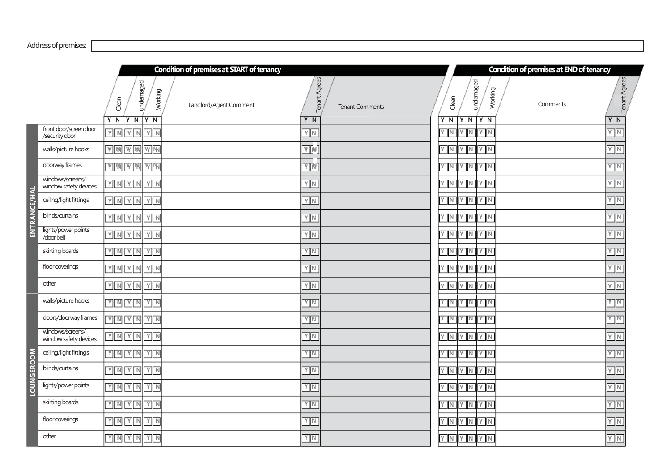### Address of premises:

|                   |                                           |                       |                                  |                      | <b>Condition of premises at START of tenancy</b> |                      |                        |                    |                           |           | <b>Condition of premises at END of tenancy</b> |                      |
|-------------------|-------------------------------------------|-----------------------|----------------------------------|----------------------|--------------------------------------------------|----------------------|------------------------|--------------------|---------------------------|-----------|------------------------------------------------|----------------------|
|                   |                                           | Clean                 |                                  | undemaged<br>Working | Landlord/Agent Comment                           | <b>Tenant Agrees</b> | <b>Tenant Comments</b> | Clean              | undemaged                 | Working   | Comments                                       | <b>Tenant Agrees</b> |
|                   | front door/screen door                    |                       | Y N Y N Y N                      |                      |                                                  | Y N                  |                        | Y N                | Y N Y N                   |           |                                                | Y N                  |
|                   | /security door                            | Y N                   | Y<br>$\overline{N}$              | YN                   |                                                  | $Y$ N                |                        | YN                 | YN                        | Y N       |                                                | YN                   |
|                   | walls/picture hooks                       | $\mathbb{Y}$ M        | <b>MU AN</b>                     | <b>YY M</b>          |                                                  | Y[N]                 |                        | YNYNYN             |                           |           |                                                | YM                   |
|                   | doorway frames                            | YM                    | MM                               | MM                   |                                                  | VM.                  |                        | <b>Y N Y N Y N</b> |                           |           |                                                | YM                   |
|                   | windows/screens/<br>window safety devices |                       | YNYN                             | YN                   |                                                  | YN                   |                        | YNYNYM             |                           |           |                                                | YN                   |
|                   | ceiling/light fittings                    |                       | YNYN                             | YN                   |                                                  | YN                   |                        | Y N                | YNYN                      |           |                                                | YN                   |
| ENTRANCE/HAL      | blinds/curtains                           | YN                    | YN                               | YN                   |                                                  | YN                   |                        | Y NY NY Y N        |                           |           |                                                | Y N                  |
|                   | lights/power points<br>/door bell         |                       | YNYN                             | YN                   |                                                  | YN                   |                        | Y NY NY N          |                           |           |                                                | YN                   |
|                   | skirting boards                           | Y N                   | YN                               | YN                   |                                                  | YN                   |                        | YNYNYN             |                           |           |                                                | YN                   |
|                   | floor coverings                           |                       | YNYM                             | YN                   |                                                  | YN                   |                        |                    |                           | Y NYNYNYN |                                                | YM                   |
|                   | other                                     | Y N                   | Y N                              | Y N                  |                                                  | YN                   |                        | $Y$ N              | $\sqrt{Y}$ N $\sqrt{Y}$ N |           |                                                | YN                   |
|                   | walls/picture hooks                       |                       | YNYN                             | YN                   |                                                  | YN                   |                        |                    |                           | NIYINIYIN |                                                | YM                   |
|                   | doors/doorway frames                      |                       | YNYN                             | YN                   |                                                  | YN                   |                        |                    |                           | Y NYNYNYN |                                                | <b>T</b> N           |
|                   | windows/screens/<br>window safety devices |                       | Y N Y N                          | YN                   |                                                  | YN                   |                        | YNYNYN             |                           |           |                                                | YN                   |
|                   | ceiling/light fittings                    |                       | YNYM                             | YN                   |                                                  | Y N                  |                        | Y NY NY NY N       |                           |           |                                                | YN                   |
|                   | blinds/curtains                           | $Y \nightharpoonup N$ | YN                               | YN                   |                                                  | YN                   |                        | YNYNYN             |                           |           |                                                | YN                   |
| <b>LOUNGEROOM</b> | lights/power points                       |                       | <b>YNYM</b>                      | YN                   |                                                  | YN                   |                        | YNYNYN             |                           |           |                                                | YN                   |
|                   | skirting boards                           |                       | <b>YINTYIN</b>                   | YN                   |                                                  | YN                   |                        | YNYNYN             |                           |           |                                                | YN                   |
|                   | floor coverings                           | Y N                   | $\overline{Y}$<br>$\overline{N}$ | YN                   |                                                  | YN                   |                        | YNYNYN             |                           |           |                                                | YN                   |
|                   | other                                     |                       | YNYN                             | Y N                  |                                                  | YN                   |                        | YNYNYN             |                           |           |                                                | YN                   |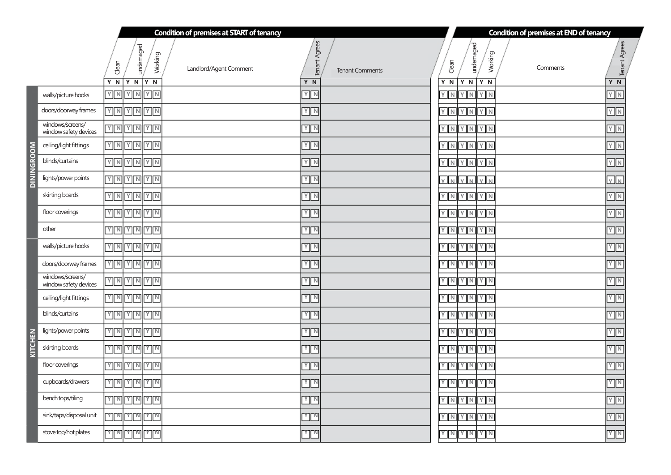|                   |                                           |                 |                                                 |            | <b>Condition of premises at START of tenancy</b> |                      |                        |       |      |           |                      | <b>Condition of premises at END of tenancy</b> |                      |
|-------------------|-------------------------------------------|-----------------|-------------------------------------------------|------------|--------------------------------------------------|----------------------|------------------------|-------|------|-----------|----------------------|------------------------------------------------|----------------------|
|                   |                                           | Clean           | undemaged                                       | Working    | Landlord/Agent Comment                           | <b>Tenant Agrees</b> | <b>Tenant Comments</b> | Clean |      | undemaged | Working              | Comments                                       | <b>Tenant Agrees</b> |
|                   |                                           | Y N Y N         |                                                 | Y N        |                                                  | Y N                  |                        | Y N   |      | Y N       | Y N                  |                                                | $Y$ N                |
|                   | walls/picture hooks                       | YM              | Y N                                             | Y N        |                                                  | $\sqrt{N}$           |                        | YN    |      |           | YNYN                 |                                                | YN                   |
|                   | doors/doorway frames                      |                 | YNYN                                            | Y N        |                                                  | YN                   |                        |       |      |           | YNYNYN               |                                                | YN                   |
|                   | windows/screens/<br>window safety devices |                 | <b>MMAR</b>                                     | YN         |                                                  | YN                   |                        |       |      |           | YNYNYN               |                                                | YN                   |
|                   | ceiling/light fittings                    |                 | $\frac{1}{\sqrt{N}}$ ותן $\frac{1}{N}$          | YN         |                                                  | $\sqrt{N}$           |                        |       |      |           | YNYNYN               |                                                | Y    N               |
| <b>DININGROOM</b> | blinds/curtains                           |                 | YNYN                                            | $Y$ N      |                                                  | YN                   |                        |       |      |           | YNYNYN               |                                                | YN                   |
|                   | lights/power points                       |                 | <b>YMYM</b>                                     | Y N        |                                                  | Y N                  |                        |       |      |           | YNYNYN               |                                                | YN                   |
|                   | skirting boards                           |                 | YNYM                                            | Y N        |                                                  | Y N                  |                        |       | YNYN |           | YN                   |                                                | YN                   |
|                   | floor coverings                           |                 | <b>YMYM</b>                                     | Y N        |                                                  | Y N                  |                        |       |      |           | YNYNYN               |                                                | YN                   |
|                   | other                                     |                 | $\nabla$ ומן צון א                              | YN         |                                                  | YN                   |                        |       |      |           | YNYNYN               |                                                | YN                   |
|                   | walls/picture hooks                       |                 | <b>YNYM</b>                                     | $Y \mid N$ |                                                  | Y N                  |                        |       |      |           | YMYMY                |                                                | YM                   |
|                   | doors/doorway frames                      | $Y$ $N$ $Y$ $N$ |                                                 | YN         |                                                  | Y N                  |                        |       |      |           | YMYMYW               |                                                | YM                   |
|                   | windows/screens/<br>window safety devices |                 | <b>YMYM</b>                                     | Y N        |                                                  | YN                   |                        |       |      |           | <u>mralmusika k</u>  |                                                | YN                   |
|                   | ceiling/light fittings                    |                 | YNYM                                            | Y N        |                                                  | YN                   |                        |       |      |           | YNYNYN               |                                                | YN                   |
|                   | blinds/curtains                           | YNYM            |                                                 | Y N        |                                                  | YN                   |                        |       |      |           | YMYNYW               |                                                | $\sqrt{N}$           |
|                   | lights/power points                       |                 | اسالمالسالد                                     | $Y \mid N$ |                                                  | M                    |                        |       |      |           | YMYMYN               |                                                | YJN                  |
| KITCHEN           | skirting boards                           |                 | $\nabla$ הן $\nabla$ ן $\nabla$ ן               | YN         |                                                  | $\sqrt{N}$           |                        |       |      |           | YNYNYN               |                                                | YN                   |
|                   | floor coverings                           |                 | اسالمالسالد                                     | YN         |                                                  | M                    |                        |       |      |           | <u>מן מן מן מן מ</u> |                                                | YM                   |
|                   | cupboards/drawers                         |                 | اسالمالسالد                                     | $\sqrt{N}$ |                                                  | m                    |                        |       |      |           | YMYMYM               |                                                | YM                   |
|                   | bench tops/tiling                         |                 | $\frac{1}{\ V\ }\frac{1}{\ V\ }\frac{1}{\ V\ }$ | YN         |                                                  | $\sqrt{N}$           |                        |       |      |           | YNYNYN               |                                                | YN                   |
|                   | sink/taps/disposal unit                   | ΥT              | القنائما الفز                                   | m          |                                                  | mr                   |                        |       |      |           | Y NYNYN              |                                                | YM                   |
|                   | stove top/hot plates                      |                 | <u>mri hi</u>                                   | m          |                                                  | <u>mr</u>            |                        |       |      |           | YNYNYN               |                                                | YN                   |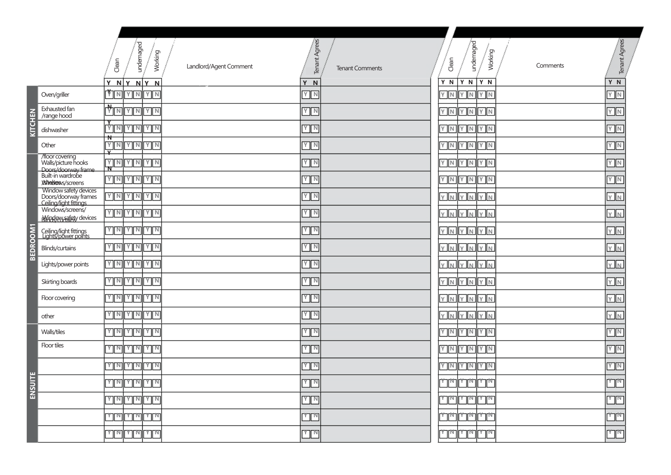|                 |                                                                                             |                    | undemaged                                           | Working |                        | Tenant Agrees |                        |                   | undemaged       | Working                                                                 |          |                  | Tenant Agrees |
|-----------------|---------------------------------------------------------------------------------------------|--------------------|-----------------------------------------------------|---------|------------------------|---------------|------------------------|-------------------|-----------------|-------------------------------------------------------------------------|----------|------------------|---------------|
|                 |                                                                                             | Clean              |                                                     |         | Landlord/Agent Comment |               | <b>Tenant Comments</b> | Clean             |                 |                                                                         | Comments |                  |               |
|                 |                                                                                             |                    | Y NY NY N                                           |         |                        | Y N           |                        | Y N               | Y N             | Y N                                                                     |          | Y N              |               |
|                 | Oven/griller                                                                                | MN                 | $\ T\ $ n                                           | YM      |                        | $Y\sqrt{N}$   |                        | $Y \sqrt{N}$<br>Υ | IN II           | YN                                                                      |          | YN               |               |
|                 | Exhausted fan<br>/range hood                                                                | $\mathbb{M}$       | $\mathbb{I}$ $\mathbb{I}$ $\mathbb{I}$ $\mathbb{I}$ | YIN     |                        | $Y\sqrt{N}$   |                        | Y   N             |                 | Y IN IIY IN                                                             |          | YN               |               |
| KITCHEN         | dishwasher                                                                                  | YN                 | $\Gamma$ n                                          | Y∥N     |                        | Y N           |                        | Y   N             |                 | Y ∥N ∭Y ∥N                                                              |          | YN               |               |
|                 | Other                                                                                       | ₩<br>YN<br>╦       | INM                                                 | Y    N  |                        | YM            |                        | Y   N  <br>Y      |                 | $\overline{\mathbb{N}}$ $\overline{\mathbb{N}}$ $\overline{\mathbb{N}}$ |          | YN               |               |
|                 | /floor covering<br>Walls/picture hooks                                                      | $\frac{1}{N}$<br>N | Y N                                                 | Y    N  |                        | YM            |                        | Y   N             |                 | Y IN IIY IN                                                             |          | YN               |               |
|                 | Doors/doorway frame<br>Built-in wardrobe<br><b>Xsheddes</b> us/screens                      | YM                 | $Y$ $N$                                             | Y N     |                        | YM            |                        | Y   N             |                 | YNYM                                                                    |          | YN               |               |
|                 | Window safety devices<br>Doors/doorway frames<br>Ceiling/light fittings<br>Windows/screens/ | YN                 | $Y$ N                                               | Y    N  |                        | YM            |                        | Y N               |                 | YNYN                                                                    |          | YN               |               |
|                 | <b>Mindow Fairly devices</b>                                                                | Y N                | $\ Y\ $ n                                           | Y   N   |                        | YM            |                        | y In I            |                 | YNYN                                                                    |          | YN               |               |
|                 | Ceiling/light fittings<br>Lights/power points                                               | $\sqrt{N}$         | $\mathbb{I}$ m $\mathbb{I}$                         | Y∏N     |                        | <b>Y M</b>    |                        | Y N               |                 | YNYN                                                                    |          | YN               |               |
| <b>BEDROOM1</b> | Blinds/curtains                                                                             | YM                 | $\ Y\ $ n                                           | Y∥N     |                        | YM            |                        | y In I            | Y N             | ly IIn                                                                  |          | YN               |               |
|                 | Lights/power points                                                                         | YN                 | $\sqrt{ \Upsilon }$                                 | Y    N  |                        | YN            |                        | y In<br>$\vee$    | İΝ              | y II n                                                                  |          | YN               |               |
|                 | Skirting boards                                                                             | YN                 | $\ Y\ $ n                                           | YM      |                        | YM            |                        | Y IN              | IN I<br>Y       | YN                                                                      |          | YN               |               |
|                 | Floor covering                                                                              | YN                 | $\ T\ $ n                                           | Y IN    |                        | $Y\sqrt{N}$   |                        | y In I            |                 | YNYN                                                                    |          | YN               |               |
|                 | other                                                                                       | YM                 | $\ Y\ $ $N$                                         | YIN     |                        | $Y\sqrt{N}$   |                        | y In I            | y In I          | $\sqrt{N}$                                                              |          | $Y$ <sub>N</sub> |               |
|                 | Walls/tiles                                                                                 | $\sqrt{N}$         | IMM                                                 | Y∏N     |                        | YM            |                        | Y NI              |                 | YMYM                                                                    |          | YN               |               |
|                 | Floor tiles                                                                                 | $\sqrt{N}$         | IMM                                                 | Y∏N     |                        | YM            |                        | Y∏N]              |                 | YMYM                                                                    |          | YN               |               |
|                 |                                                                                             | Y∏N                | INT                                                 | Y∥N     |                        | YTM           |                        | Y IN I            |                 | Y N Y N                                                                 |          | YN               |               |
| <b>ENSUITE</b>  |                                                                                             | Υ∏Ν                | IMM                                                 | Y∏N     |                        | ™¶            |                        | NП                | וריד            | ™                                                                       |          | <u>na</u>        |               |
|                 |                                                                                             |                    | <u>YIMIYIM</u>                                      | Y∏N     |                        | YM            |                        | ורמחר             |                 | אחר און האורץ                                                           |          | n                |               |
|                 |                                                                                             | אובג               | سالد                                                | Υ∏W     |                        | لسالہ         |                        | MП                |                 | Υ∏IN                                                                    |          | n                |               |
|                 |                                                                                             |                    | سالمالسلما                                          | אחרץ    |                        | سلد           |                        | ורייד             | <b>Lallball</b> |                                                                         |          | <u>nlu</u>       |               |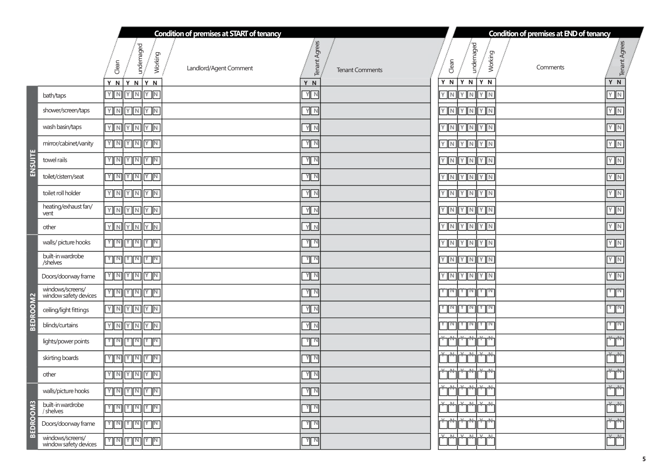|          |                                           |       |                        |                      | <b>Condition of premises at START of tenancy</b> |                               |                        |              |           |                                               | <b>Condition of premises at END of tenancy</b> |                      |
|----------|-------------------------------------------|-------|------------------------|----------------------|--------------------------------------------------|-------------------------------|------------------------|--------------|-----------|-----------------------------------------------|------------------------------------------------|----------------------|
|          |                                           | Clean | undemaged              | <b>Working</b>       | Landlord/Agent Comment                           | <b>Tenant Agrees</b>          | <b>Tenant Comments</b> | Clean        |           | undemaged<br>Working                          | Comments                                       | <b>Tenant Agrees</b> |
|          | bath/taps                                 | Y N   | Y N<br>$V$ $N$ $V$ $N$ | Y N<br>Y N           |                                                  | Y N<br>$\sqrt{N}$             |                        | Y N<br>YNYN  | Y         | $\mathbf N$<br>Y N<br>YN                      |                                                | Y N<br>$\sqrt{N}$    |
|          | shower/screen/taps                        |       | YNYN                   | Y N                  |                                                  | Y N                           |                        | YNYN         |           | Y N                                           |                                                | $\sqrt{N}$           |
|          | wash basin/taps                           |       |                        | YNYNYN               |                                                  | YN                            |                        | YNYN         |           | YN                                            |                                                | YN                   |
|          | mirror/cabinet/vanity                     | YM    | Y N                    | Y N                  |                                                  | $Y\sqrt{N}$                   |                        | YNYN         |           | YN                                            |                                                | $V\overline{N}$      |
| ENSUITE  | towel rails                               |       | <u> سالمالسلا</u>      | Y N                  |                                                  | YN                            |                        | YNYN         |           | YN                                            |                                                | YM                   |
|          | toilet/cistern/seat                       |       | <b>MMMM</b>            | Y N                  |                                                  | YN                            |                        | YNYN         |           | YN                                            |                                                | YM                   |
|          | toilet roll holder                        |       | YNYN                   | Y N                  |                                                  | YN                            |                        | YNYN         |           | YN                                            |                                                | YN                   |
|          | heating/exhaust fan/<br>vent              | YN    | YN                     | Y N                  |                                                  | Y N                           |                        | YNYN         |           | Y II N                                        |                                                | YN                   |
|          | other                                     |       | YNYN                   | $Y$ N                |                                                  | YN                            |                        | YNYN         |           | YN                                            |                                                | $Y\overline{N}$      |
|          | walls/ picture hooks                      |       |                        | لقالدا إفالدا إفتاله |                                                  | MM                            |                        | YNYN         |           | YN                                            |                                                | YM                   |
|          | built-in wardrobe<br>/shelves             |       | فالدالقالد             | M                    |                                                  | M                             |                        | YNYN         |           | YN                                            |                                                | YM                   |
|          | Doors/doorway frame                       |       | YMYM                   | Y N                  |                                                  | Y N                           |                        | YNYN         |           | YN                                            |                                                | YN                   |
|          | windows/screens/<br>window safety devices | Y N   | YN                     | Y N                  |                                                  | Y N                           |                        | ורי          | القالهالق | דיחרי                                         |                                                | ייחרי                |
| BEDROOM2 | ceiling/light fittings                    |       | YNYN                   | $Y$ N                |                                                  | $Y\sqrt{N}$                   |                        | القالقالقالة |           | יחרי                                          |                                                |                      |
|          | blinds/curtains                           |       | YNYN                   | Y N                  |                                                  | $Y\overline{N}$               |                        | لفالفالفالة  |           | יחרי                                          |                                                |                      |
|          | lights/power points                       |       | لسالمالسالد            | $Y \parallel N$      |                                                  | $\sqrt{N}$                    |                        | ⊹            |           | ᆚ<br>ᆚ<br>r₩                                  |                                                |                      |
|          | skirting boards                           |       | <u> MMMI</u>           | Y N                  |                                                  | YN                            |                        | ┻            |           | کے<br>₩                                       |                                                |                      |
|          | other                                     |       | YNYN                   | YN                   |                                                  | $\overline{Y}$ $\overline{N}$ |                        |              |           |                                               |                                                |                      |
|          | walls/picture hooks                       |       | YNYN                   | Y N                  |                                                  | YN                            |                        |              |           |                                               |                                                |                      |
|          | built-in wardrobe<br>/ shelves            |       | דיון אן דיון ד         | $Y \parallel N$      |                                                  | ा   प                         |                        | ᄮ            |           | $\sqrt{}$<br>M<br>٣Ń                          |                                                |                      |
| BEDROOM3 | Doors/doorway frame                       |       | القالمالقالد           | YI <sup>n</sup>      |                                                  | m                             |                        | ∼            |           | <b>Hunt</b><br>π₩η                            |                                                | $V - h$              |
|          | windows/screens/<br>window safety devices |       | لترالمالين             | Y N                  |                                                  | $\sqrt{N}$                    |                        | Y<br>احلحت   |           | <del>⊓<sub>й</sub></del> ⊔ыµ⊔ <sub>ж</sub> ⊔ы |                                                | $X - N$              |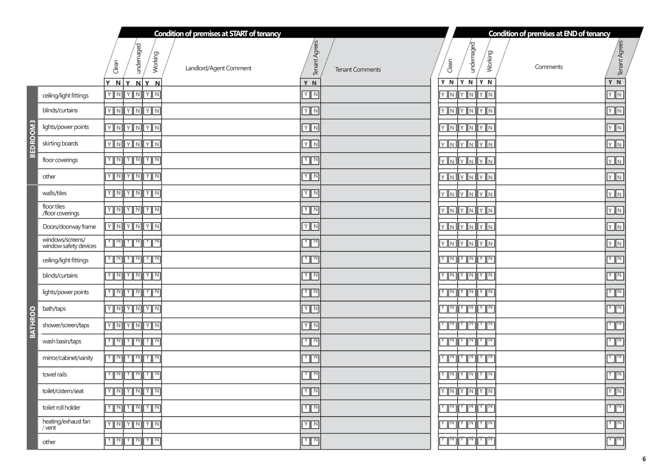|                 |                                           |                 |                                    |                      | <b>Condition of premises at START of tenancy</b> |                    |                        |              |                      |                      |         | <b>Condition of premises at END of tenancy</b> |                      |
|-----------------|-------------------------------------------|-----------------|------------------------------------|----------------------|--------------------------------------------------|--------------------|------------------------|--------------|----------------------|----------------------|---------|------------------------------------------------|----------------------|
|                 |                                           | Clean           | undemaged                          | Working              | Landlord/Agent Comment                           | Tenant Agrees      | <b>Tenant Comments</b> | Clean        |                      | undemaged            | Working | Comments                                       | <b>Tenant Agrees</b> |
|                 |                                           | Y N             | N<br>$\mathbf{v}$                  | l٧.<br>N             |                                                  | Y N                |                        | Y N          | Y                    | N<br>Y N             |         |                                                | Y N                  |
|                 | ceiling/light fittings                    | YMYN            |                                    | Y N                  |                                                  | $Y\sqrt{N}$        |                        | YMYM         |                      | YN                   |         |                                                | $\sqrt{}$ M          |
|                 | blinds/curtains                           | $Y$ $N$ $Y$ $N$ |                                    | YM                   |                                                  | YN                 |                        | YNYM         |                      | $Y\overline{N}$      |         |                                                | $\sqrt{N}$           |
| <b>BEDROOM3</b> | lights/power points                       |                 |                                    | YNYNYN               |                                                  | YN                 |                        | YMYM         |                      | Y N                  |         |                                                | Y IN                 |
|                 | skirting boards                           | $Y$ $N$         | YN                                 | VN                   |                                                  | YN                 |                        | YN           | $Y$ N                | YΙ                   | IN.     |                                                | YN                   |
|                 | floor coverings                           | Y∏N]            | היחרים                             | mr                   |                                                  | mr                 |                        | $Y$ N        | $Y$ $N$              | Y IN                 |         |                                                | YN                   |
|                 | other                                     |                 |                                    | <b>YMYMWYM</b>       |                                                  | Y  N               |                        | YNYN         |                      | YN                   |         |                                                | YN                   |
|                 | walls/tiles                               |                 | YMYM                               | Y   N                |                                                  | $\sqrt{N}$         |                        | YNYN         |                      | Y N                  |         |                                                | Y N                  |
|                 | floor tiles<br>/floor coverings           |                 |                                    | YMYMYM               |                                                  | YN                 |                        | YNYN         |                      | YN                   |         |                                                | YN                   |
|                 | Doors/doorway frame                       | YN              | YN                                 | YN                   |                                                  | $Y$ $N$            |                        | YNYN         |                      | Y N                  |         |                                                | $\sqrt{N}$           |
|                 | windows/screens/<br>window safety devices |                 |                                    | بمالها إمالها المالد |                                                  | اسالبنا            |                        |              |                      | YNYNYN               |         |                                                | YN                   |
|                 | ceiling/light fittings                    | البيالير        | העובגו                             | للااليز              |                                                  | mri                |                        | لمالدالمالدا |                      | Y∏NT                 |         |                                                | אוןרץ                |
|                 | blinds/curtains                           |                 |                                    | <b>MMMMMM</b>        |                                                  | <b>MW</b>          |                        | سلط  سلط     |                      | Y JN                 |         |                                                | <b>TIN</b>           |
|                 | lights/power points                       | YM              | mm                                 | IMM                  |                                                  | mm                 |                        |              | <u> اسالہا اسالہ</u> | Y∏N                  |         |                                                | Y JN                 |
|                 | bath/taps                                 | YM              | $\sqrt{ \mathbf{Y}   \mathbf{N} }$ | Y∏N                  |                                                  | $\sqrt{N}$         |                        |              | لفالد فالصالد        |                      | דת      |                                                |                      |
| <b>BATHROO</b>  | shower/screen/taps                        | YM              | YN                                 | YN                   |                                                  | $\sqrt{N}$         |                        | الفالد       |                      |                      | 'NΠ     |                                                |                      |
|                 | wash basin/taps                           | רייורי          | העובגו                             | דיחרץ                |                                                  | سلما               |                        | السالد       |                      | רייחרים<br>Υ∏N       |         |                                                | יחרי                 |
|                 | mirror/cabinet/vanity                     |                 |                                    | لفالفالفالفالفالف    |                                                  | السالينا           |                        |              | السالمالسالد         | דיחרי                |         |                                                | יחרי                 |
|                 | towel rails                               |                 | السلدالسلد                         | ייחרי                |                                                  | اسالما             |                        |              | لسالمالسالم          | Υ∏N⊤                 |         |                                                | זחןרץ                |
|                 | toilet/cistern/seat                       |                 |                                    | <b>MMYMM</b>         |                                                  | $\boxed{\text{Y}}$ |                        |              |                      | YNYNYM               |         |                                                | YN                   |
|                 | toilet roll holder                        | YM              |                                    | MMMM                 |                                                  | mm                 |                        |              | الفالفالفالفالة      | للإيالي              |         |                                                | عبالها               |
|                 | heating/exhaust fan<br>/ vent             |                 |                                    | YNYMYN               |                                                  | YN                 |                        |              |                      | لفالفالفالفالفالف    |         |                                                | אורג                 |
|                 | other                                     |                 |                                    | سالماسالمالسالد      |                                                  | <b>MM</b>          |                        |              |                      | نهانها إنهالها إماله |         |                                                | برالها               |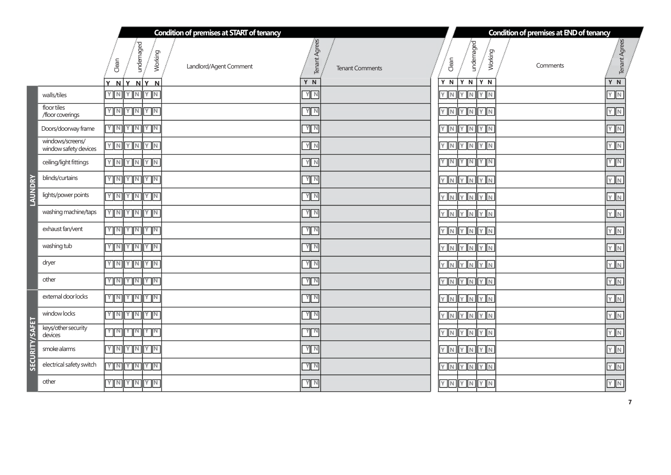|                |                                           |       |                                                  |         | <b>Condition of premises at START of tenancy</b> |               |                        |                       |           |                                   | <b>Condition of premises at END of tenancy</b> |                       |
|----------------|-------------------------------------------|-------|--------------------------------------------------|---------|--------------------------------------------------|---------------|------------------------|-----------------------|-----------|-----------------------------------|------------------------------------------------|-----------------------|
|                |                                           | Clean | undemaged                                        | Working | Landlord/Agent Comment                           | Tenant Agrees | <b>Tenant Comments</b> | Clean                 | undemaged | Working                           | Comments                                       | Tenant Agrees         |
|                | walls/tiles                               | Y N   | $N$ $Y$ $N$<br><b>YMYM</b>                       | Y IN    |                                                  | Y N<br>YN     |                        | Y N<br>Y N            | Y N<br>YN | IYN.<br>$\ Y\ N$                  |                                                | Y N<br>YM             |
|                | floor tiles                               |       | YNYMYN                                           |         |                                                  | Y N           |                        |                       |           | YNYNYM                            |                                                | YN                    |
|                | /floor coverings                          |       |                                                  |         |                                                  |               |                        |                       |           |                                   |                                                |                       |
|                | Doors/doorway frame                       |       | <b>MMANI</b>                                     | YM      |                                                  | YN            |                        |                       |           | YNYNYN                            |                                                | YN                    |
|                | windows/screens/<br>window safety devices |       | YNYNYN                                           |         |                                                  | YN            |                        |                       |           | YNYNYN                            |                                                | YN                    |
|                | ceiling/light fittings                    |       | YNYNYN                                           |         |                                                  | YN            |                        |                       |           | <b>MMTMMM</b>                     |                                                | <b>Y</b> <sub>N</sub> |
|                | blinds/curtains                           |       | YMYMYA                                           |         |                                                  | YN            |                        |                       |           | YNYNYN                            |                                                | YN                    |
| LAUNDRY        | lights/power points                       | YM    | YM                                               | YM      |                                                  | YN            |                        | ly In II              | YN        | Iy In                             |                                                | YN                    |
|                | washing machine/taps                      |       | YNYMYN                                           |         |                                                  | YN            |                        | YNYN                  |           | IIY IN                            |                                                | YN                    |
|                | exhaust fan/vent                          | YM    | $\frac{1}{2}$ n $\frac{1}{2}$ n                  |         |                                                  | YN            |                        | YNYN                  |           | $\ Y\ N$                          |                                                | YN                    |
|                | washing tub                               |       | YMYM                                             | Y N     |                                                  | Y N           |                        | $\sqrt{N}$ $\sqrt{N}$ |           | III Y II N                        |                                                | YN                    |
|                | dryer                                     |       | <b>MNYM</b>                                      | Y N     |                                                  | YN            |                        | YNYN                  |           | $\sqrt{ \mathbf{Y}  \mathbf{N} }$ |                                                | YN                    |
|                | other                                     |       | $\sqrt{ \mathcal{V}  \mathcal{V}  \mathcal{V} }$ | Y∏N     |                                                  | $\sqrt{N}$    |                        |                       |           | YNYNYN                            |                                                | YN                    |
|                | external door locks                       |       | <b>  הערג  מער</b>                               | Y N     |                                                  | $\sqrt{N}$    |                        |                       |           | YNYNYN                            |                                                | YN                    |
|                | window locks                              |       | <b>MNTH</b>                                      | Y N     |                                                  | YN            |                        |                       |           | YNYNYN                            |                                                | $Y$ N                 |
| SECURITY/SAFET | keys/other security<br>devices            |       | السلامالسلاما                                    | YTN     |                                                  | $\sqrt{N}$    |                        | YNYN                  |           | $\sqrt{\frac{1}{N}}$              |                                                | YN                    |
|                | smoke alarms                              |       | YMYMYM                                           |         |                                                  | Y N           |                        |                       |           | YNYNYN                            |                                                | $\sqrt{N}$            |
|                | electrical safety switch                  |       | <b>MMMMMMM</b>                                   |         |                                                  | $\sqrt{N}$    |                        |                       |           | YNYNYN                            |                                                | YN                    |
|                | other                                     |       | YMYMYM                                           |         |                                                  | Y N           |                        | YNYN                  |           | $\ Y\ N$                          |                                                | YN                    |

7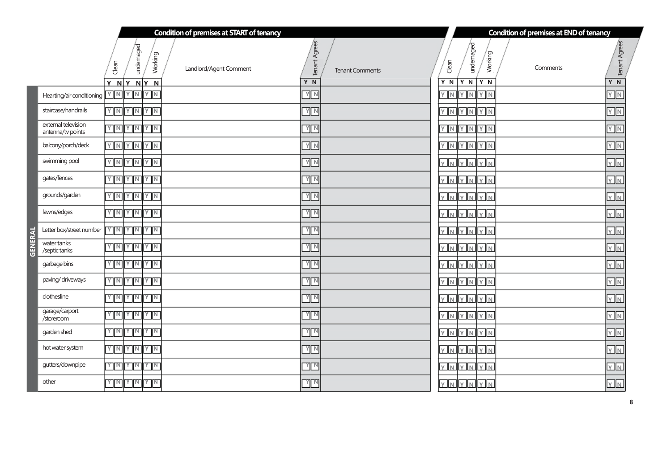|                                        |                |                                  | <b>Condition of premises at START of tenancy</b> |                               |                        |           |                           |                      | <b>Condition of premises at END of tenancy</b> |                      |
|----------------------------------------|----------------|----------------------------------|--------------------------------------------------|-------------------------------|------------------------|-----------|---------------------------|----------------------|------------------------------------------------|----------------------|
|                                        | Clean          | undemaged<br>Working             | Landlord/Agent Comment                           | <b>Tenant Agrees</b>          | <b>Tenant Comments</b> | Clean     |                           | undemaged<br>Working | Comments                                       | <b>Tenant Agrees</b> |
| Hearting/air conditioning              | Y NY NY N      | YMYMT                            |                                                  | Y N<br>$\sqrt{N}$             |                        | Y N<br>YM | $\mathbb{F}$ $\mathbb{F}$ | Y N Y N<br>YN        |                                                | Y N<br>YN            |
| staircase/handrails                    |                | <u>MMMMMMMM</u>                  |                                                  | $\sqrt{N}$                    |                        |           |                           | YMYNYM               |                                                | YN                   |
| external television                    |                |                                  |                                                  |                               |                        |           |                           |                      |                                                |                      |
| antenna/tv points                      |                | אן אן אן אן אן א                 |                                                  | $\sqrt{N}$                    |                        |           | YNYM                      | YN                   |                                                | YN                   |
| balcony/porch/deck                     |                | YNYNYN                           |                                                  | $\sqrt{N}$                    |                        |           |                           | YNYNYN               |                                                | YN                   |
| swimming pool                          | YNYNYN         |                                  |                                                  | YN                            |                        | y In      | $\sqrt{\frac{1}{N}}$      | Iy In                |                                                | <u>v In</u>          |
| gates/fences                           |                |                                  |                                                  | $\sqrt{N}$                    |                        |           | YNYN                      | YN                   |                                                | YN                   |
| grounds/garden                         | YMYMYM         |                                  |                                                  | YN                            |                        | Y IN      | ly In I                   | ly In                |                                                | $\ Y\ _N$            |
| lawns/edges                            | YMYMX          |                                  |                                                  | YN                            |                        | $V$ N     | $\mathbb{F}$ in           | $\sqrt{N}$           |                                                | <u>v n</u>           |
| Letter box/street number               |                | $\frac{1}{2}$ ראן דאן דאן דאן דא |                                                  | $\overline{Y}$ $\overline{N}$ |                        | $Y$ N     | $\sqrt{Y}N$               | $Y$ <sub>N</sub>     |                                                | YN                   |
| π<br>water tanks<br>歯<br>/septic tanks | YMYMYA         |                                  |                                                  | $\sqrt{N}$                    |                        |           |                           | YNYNYN               |                                                | $Y$ N                |
| garbage bins                           | YMYMYA         |                                  |                                                  | $\sqrt{N}$                    |                        |           | YNYN                      | $\sqrt{N}$           |                                                | $Y$ N                |
| paving/driveways                       | والمالي المالي |                                  |                                                  | $\sqrt{\frac{N}{N}}$          |                        |           |                           | YNYNYN               |                                                | YN                   |
| clothesline                            |                | $\frac{1}{2}$ אן אן אן אן אן א   |                                                  | $\sqrt{N}$                    |                        |           | YNYN                      | $\sqrt{N}$           |                                                | $Y$ N                |
| garage/carport<br>/storeroom           |                | <u>MMMMMMM</u>                   |                                                  | $\sqrt{N}$                    |                        |           | YNYN                      | $\sqrt{N}$           |                                                | $\sqrt{N}$           |
| garden shed                            |                | للالمال المالية المالية          |                                                  | $\gamma_{\rm N}$              |                        |           | YNYN                      | YN                   |                                                | $Y$ N                |
| hot water system                       |                | YMYMYM                           |                                                  | $\sqrt{N}$                    |                        |           | YNYN                      | $\sqrt{N}$           |                                                | $\sqrt{N}$           |
| gutters/downpipe                       |                | لعالدالطلطالطلاط                 |                                                  | <u>ma</u>                     |                        |           |                           | <u>VMVNVM</u>        |                                                | <u>vn</u>            |
| other                                  |                | لعالدالعالمالمالما               |                                                  | سللما                         |                        | $Y$ N     |                           | YNYN                 |                                                | $\sqrt{N}$           |